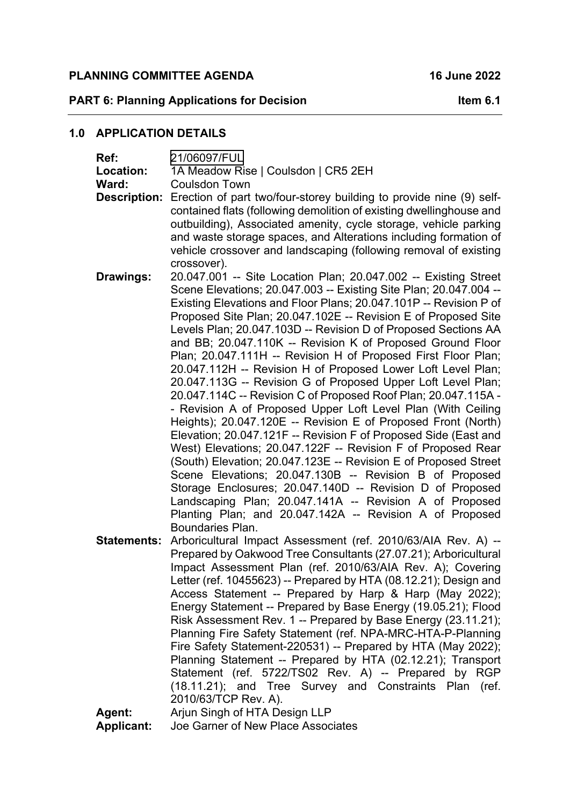## PLANNING COMMITTEE AGENDA 16 June 2022

**PART 6: Planning Applications for Decision Item 6.1** 

### **1.0 APPLICATION DETAILS**

| Ref:<br>Location:<br>Ward:<br><b>Description:</b> | 21/06097/FUL<br>1A Meadow Rise   Coulsdon   CR5 2EH<br><b>Coulsdon Town</b><br>Erection of part two/four-storey building to provide nine (9) self-                                                                                                                                                                                                                                                                                                                                                                                                                                                                                                                                                                                                                                                                                                                                                                                                                                                                                                                                                                                                                                                                                                                   |
|---------------------------------------------------|----------------------------------------------------------------------------------------------------------------------------------------------------------------------------------------------------------------------------------------------------------------------------------------------------------------------------------------------------------------------------------------------------------------------------------------------------------------------------------------------------------------------------------------------------------------------------------------------------------------------------------------------------------------------------------------------------------------------------------------------------------------------------------------------------------------------------------------------------------------------------------------------------------------------------------------------------------------------------------------------------------------------------------------------------------------------------------------------------------------------------------------------------------------------------------------------------------------------------------------------------------------------|
|                                                   | contained flats (following demolition of existing dwellinghouse and<br>outbuilding), Associated amenity, cycle storage, vehicle parking<br>and waste storage spaces, and Alterations including formation of<br>vehicle crossover and landscaping (following removal of existing<br>crossover).                                                                                                                                                                                                                                                                                                                                                                                                                                                                                                                                                                                                                                                                                                                                                                                                                                                                                                                                                                       |
| Drawings:                                         | 20.047.001 -- Site Location Plan; 20.047.002 -- Existing Street<br>Scene Elevations; 20.047.003 -- Existing Site Plan; 20.047.004 --<br>Existing Elevations and Floor Plans; 20.047.101P -- Revision P of<br>Proposed Site Plan; 20.047.102E -- Revision E of Proposed Site<br>Levels Plan; 20.047.103D -- Revision D of Proposed Sections AA<br>and BB; 20.047.110K -- Revision K of Proposed Ground Floor<br>Plan; 20.047.111H -- Revision H of Proposed First Floor Plan;<br>20.047.112H -- Revision H of Proposed Lower Loft Level Plan;<br>20.047.113G -- Revision G of Proposed Upper Loft Level Plan;<br>20.047.114C -- Revision C of Proposed Roof Plan; 20.047.115A -<br>- Revision A of Proposed Upper Loft Level Plan (With Ceiling<br>Heights); 20.047.120E -- Revision E of Proposed Front (North)<br>Elevation; 20.047.121F -- Revision F of Proposed Side (East and<br>West) Elevations; 20.047.122F -- Revision F of Proposed Rear<br>(South) Elevation; 20.047.123E -- Revision E of Proposed Street<br>Scene Elevations; 20.047.130B -- Revision B of Proposed<br>Storage Enclosures; 20.047.140D -- Revision D of Proposed<br>Landscaping Plan; 20.047.141A -- Revision A of Proposed<br>Planting Plan; and 20.047.142A -- Revision A of Proposed |
| <b>Statements:</b><br>Agent:                      | Boundaries Plan.<br>Arboricultural Impact Assessment (ref. 2010/63/AIA Rev. A) --<br>Prepared by Oakwood Tree Consultants (27.07.21); Arboricultural<br>Impact Assessment Plan (ref. 2010/63/AIA Rev. A); Covering<br>Letter (ref. 10455623) -- Prepared by HTA (08.12.21); Design and<br>Access Statement -- Prepared by Harp & Harp (May 2022);<br>Energy Statement -- Prepared by Base Energy (19.05.21); Flood<br>Risk Assessment Rev. 1 -- Prepared by Base Energy (23.11.21);<br>Planning Fire Safety Statement (ref. NPA-MRC-HTA-P-Planning<br>Fire Safety Statement-220531) -- Prepared by HTA (May 2022);<br>Planning Statement -- Prepared by HTA (02.12.21); Transport<br>Statement (ref. 5722/TS02 Rev. A) -- Prepared by RGP<br>(18.11.21); and Tree Survey and Constraints Plan (ref.<br>2010/63/TCP Rev. A).<br>Arjun Singh of HTA Design LLP                                                                                                                                                                                                                                                                                                                                                                                                         |
|                                                   |                                                                                                                                                                                                                                                                                                                                                                                                                                                                                                                                                                                                                                                                                                                                                                                                                                                                                                                                                                                                                                                                                                                                                                                                                                                                      |

**Applicant:** Joe Garner of New Place Associates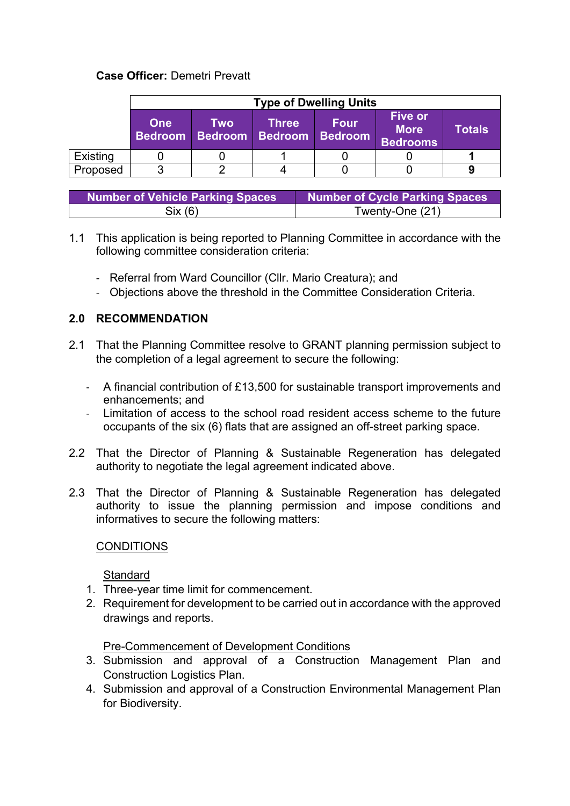### **Case Officer:** Demetri Prevatt

|                              | <b>Type of Dwelling Units</b> |     |                                                |      |                                           |               |  |
|------------------------------|-------------------------------|-----|------------------------------------------------|------|-------------------------------------------|---------------|--|
| <b>One</b><br><b>Bedroom</b> |                               | Two | <b>Three</b><br><b>Bedroom Bedroom Bedroom</b> | Four | <b>Five or</b><br><b>More</b><br>Bedrooms | <b>Totals</b> |  |
| Existing                     |                               |     |                                                |      |                                           |               |  |
| Proposed                     |                               |     |                                                |      |                                           |               |  |

| <b>Number of Vehicle Parking Spaces</b> | Number of Cycle Parking Spaces |
|-----------------------------------------|--------------------------------|
| Six (6)                                 | Twenty-One (21)                |

- 1.1 This application is being reported to Planning Committee in accordance with the following committee consideration criteria:
	- ‐ Referral from Ward Councillor (Cllr. Mario Creatura); and
	- ‐ Objections above the threshold in the Committee Consideration Criteria.

### **2.0 RECOMMENDATION**

- 2.1 That the Planning Committee resolve to GRANT planning permission subject to the completion of a legal agreement to secure the following:
	- ‐ A financial contribution of £13,500 for sustainable transport improvements and enhancements; and
	- ‐ Limitation of access to the school road resident access scheme to the future occupants of the six (6) flats that are assigned an off-street parking space.
- 2.2 That the Director of Planning & Sustainable Regeneration has delegated authority to negotiate the legal agreement indicated above.
- 2.3 That the Director of Planning & Sustainable Regeneration has delegated authority to issue the planning permission and impose conditions and informatives to secure the following matters:

#### **CONDITIONS**

**Standard** 

- 1. Three-year time limit for commencement.
- 2. Requirement for development to be carried out in accordance with the approved drawings and reports.

Pre-Commencement of Development Conditions

- 3. Submission and approval of a Construction Management Plan and Construction Logistics Plan.
- 4. Submission and approval of a Construction Environmental Management Plan for Biodiversity.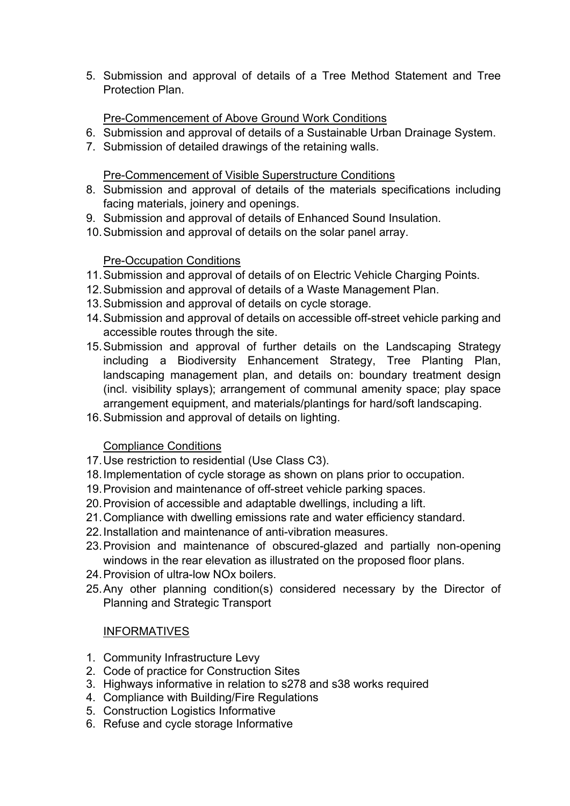5. Submission and approval of details of a Tree Method Statement and Tree Protection Plan.

## Pre-Commencement of Above Ground Work Conditions

- 6. Submission and approval of details of a Sustainable Urban Drainage System.
- 7. Submission of detailed drawings of the retaining walls.

### Pre-Commencement of Visible Superstructure Conditions

- 8. Submission and approval of details of the materials specifications including facing materials, joinery and openings.
- 9. Submission and approval of details of Enhanced Sound Insulation.
- 10. Submission and approval of details on the solar panel array.

## Pre-Occupation Conditions

- 11. Submission and approval of details of on Electric Vehicle Charging Points.
- 12. Submission and approval of details of a Waste Management Plan.
- 13. Submission and approval of details on cycle storage.
- 14. Submission and approval of details on accessible off-street vehicle parking and accessible routes through the site.
- 15. Submission and approval of further details on the Landscaping Strategy including a Biodiversity Enhancement Strategy, Tree Planting Plan, landscaping management plan, and details on: boundary treatment design (incl. visibility splays); arrangement of communal amenity space; play space arrangement equipment, and materials/plantings for hard/soft landscaping.
- 16. Submission and approval of details on lighting.

# Compliance Conditions

- 17. Use restriction to residential (Use Class C3).
- 18. Implementation of cycle storage as shown on plans prior to occupation.
- 19. Provision and maintenance of off-street vehicle parking spaces.
- 20. Provision of accessible and adaptable dwellings, including a lift.
- 21. Compliance with dwelling emissions rate and water efficiency standard.
- 22. Installation and maintenance of anti-vibration measures.
- 23. Provision and maintenance of obscured-glazed and partially non-opening windows in the rear elevation as illustrated on the proposed floor plans.
- 24. Provision of ultra-low NOx boilers.
- 25. Any other planning condition(s) considered necessary by the Director of Planning and Strategic Transport

# **INFORMATIVES**

- 1. Community Infrastructure Levy
- 2. Code of practice for Construction Sites
- 3. Highways informative in relation to s278 and s38 works required
- 4. Compliance with Building/Fire Regulations
- 5. Construction Logistics Informative
- 6. Refuse and cycle storage Informative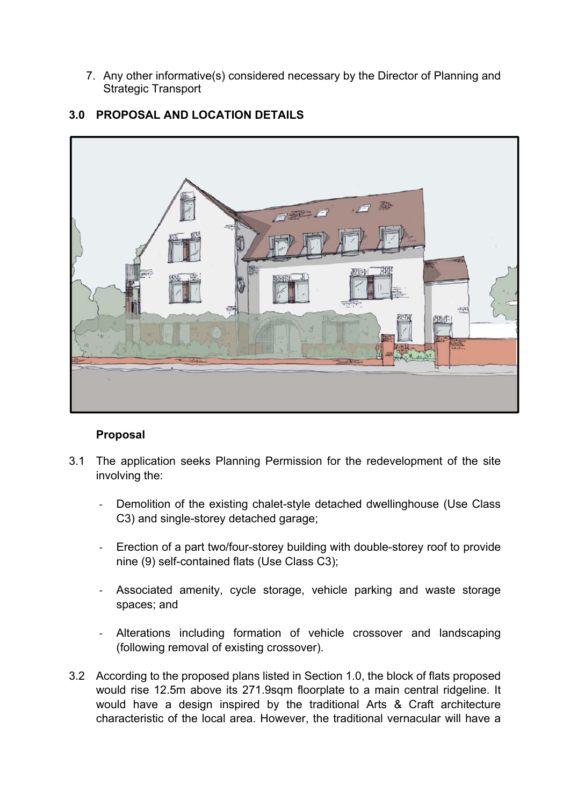7. Any other informative(s) considered necessary by the Director of Planning and Strategic Transport



## **3.0 PROPOSAL AND LOCATION DETAILS**

### **Proposal**

- 3.1 The application seeks Planning Permission for the redevelopment of the site involving the:
	- Demolition of the existing chalet-style detached dwellinghouse (Use Class C3) and single-storey detached garage;
	- ‐ Erection of a part two/four-storey building with double-storey roof to provide nine (9) self-contained flats (Use Class C3);
	- ‐ Associated amenity, cycle storage, vehicle parking and waste storage spaces; and
	- ‐ Alterations including formation of vehicle crossover and landscaping (following removal of existing crossover).
- 3.2 According to the proposed plans listed in Section 1.0, the block of flats proposed would rise 12.5m above its 271.9sqm floorplate to a main central ridgeline. It would have a design inspired by the traditional Arts & Craft architecture characteristic of the local area. However, the traditional vernacular will have a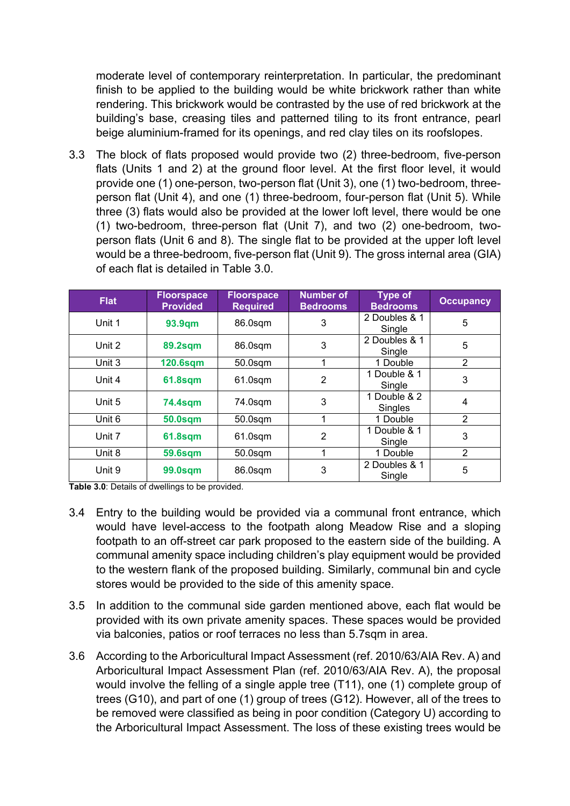moderate level of contemporary reinterpretation. In particular, the predominant finish to be applied to the building would be white brickwork rather than white rendering. This brickwork would be contrasted by the use of red brickwork at the building's base, creasing tiles and patterned tiling to its front entrance, pearl beige aluminium-framed for its openings, and red clay tiles on its roofslopes.

3.3 The block of flats proposed would provide two (2) three-bedroom, five-person flats (Units 1 and 2) at the ground floor level. At the first floor level, it would provide one (1) one-person, two-person flat (Unit 3), one (1) two-bedroom, threeperson flat (Unit 4), and one (1) three-bedroom, four-person flat (Unit 5). While three (3) flats would also be provided at the lower loft level, there would be one (1) two-bedroom, three-person flat (Unit 7), and two (2) one-bedroom, twoperson flats (Unit 6 and 8). The single flat to be provided at the upper loft level would be a three-bedroom, five-person flat (Unit 9). The gross internal area (GIA) of each flat is detailed in Table 3.0.

| <b>Flat</b> | <b>Floorspace</b><br><b>Provided</b> | <b>Floorspace</b><br><b>Required</b> | <b>Number of</b><br><b>Bedrooms</b> | <b>Type of</b><br><b>Bedrooms</b> | <b>Occupancy</b> |
|-------------|--------------------------------------|--------------------------------------|-------------------------------------|-----------------------------------|------------------|
| Unit 1      | 93.9qm                               | 86.0sqm                              | 3                                   | 2 Doubles & 1<br>Single           | 5                |
| Unit 2      | <b>89.2sqm</b>                       | 86.0sqm                              | 3                                   | 2 Doubles & 1<br>Single           | 5                |
| Unit 3      | <b>120.6sqm</b>                      | $50.0$ sqm                           | 1                                   | 1 Double                          | $\overline{2}$   |
| Unit 4      | <b>61.8sqm</b>                       | $61.0$ sqm                           | 2                                   | 1 Double & 1<br>Single            | 3                |
| Unit 5      | <b>74.4sqm</b>                       | 74.0sqm                              | 3                                   | 1 Double & 2<br>Singles           | 4                |
| Unit 6      | <b>50.0sqm</b>                       | $50.0$ sqm                           | 1                                   | 1 Double                          | $\overline{2}$   |
| Unit 7      | <b>61.8sqm</b>                       | $61.0$ sqm                           | $\overline{2}$                      | 1 Double & 1<br>Single            | 3                |
| Unit 8      | <b>59.6sqm</b>                       | 50.0sqm                              |                                     | 1 Double                          | 2                |
| Unit 9      | <b>99.0sqm</b>                       | 86.0sqm                              | 3                                   | 2 Doubles & 1<br>Single           | 5                |

**Table 3.0**: Details of dwellings to be provided.

- 3.4 Entry to the building would be provided via a communal front entrance, which would have level-access to the footpath along Meadow Rise and a sloping footpath to an off-street car park proposed to the eastern side of the building. A communal amenity space including children's play equipment would be provided to the western flank of the proposed building. Similarly, communal bin and cycle stores would be provided to the side of this amenity space.
- 3.5 In addition to the communal side garden mentioned above, each flat would be provided with its own private amenity spaces. These spaces would be provided via balconies, patios or roof terraces no less than 5.7sqm in area.
- 3.6 According to the Arboricultural Impact Assessment (ref. 2010/63/AIA Rev. A) and Arboricultural Impact Assessment Plan (ref. 2010/63/AIA Rev. A), the proposal would involve the felling of a single apple tree (T11), one (1) complete group of trees (G10), and part of one (1) group of trees (G12). However, all of the trees to be removed were classified as being in poor condition (Category U) according to the Arboricultural Impact Assessment. The loss of these existing trees would be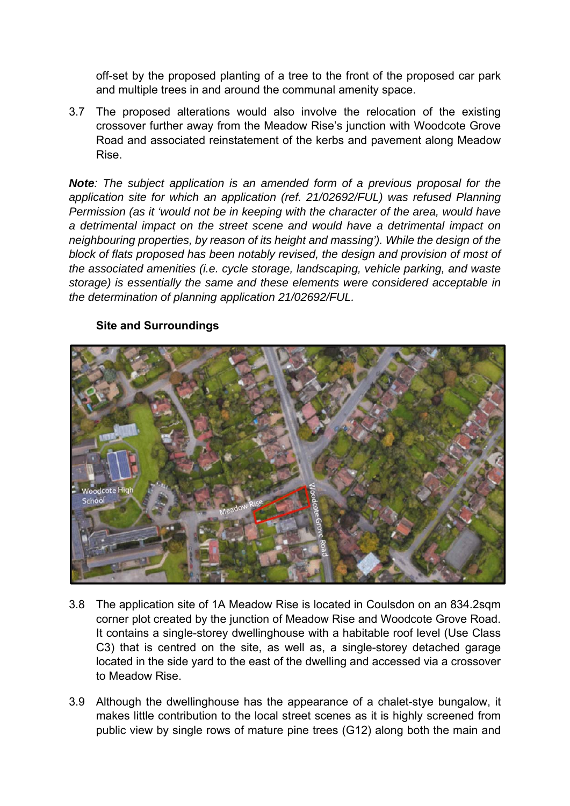off-set by the proposed planting of a tree to the front of the proposed car park and multiple trees in and around the communal amenity space.

3.7 The proposed alterations would also involve the relocation of the existing crossover further away from the Meadow Rise's junction with Woodcote Grove Road and associated reinstatement of the kerbs and pavement along Meadow Rise.

*Note: The subject application is an amended form of a previous proposal for the application site for which an application (ref. 21/02692/FUL) was refused Planning Permission (as it 'would not be in keeping with the character of the area, would have a detrimental impact on the street scene and would have a detrimental impact on neighbouring properties, by reason of its height and massing'). While the design of the block of flats proposed has been notably revised, the design and provision of most of the associated amenities (i.e. cycle storage, landscaping, vehicle parking, and waste storage) is essentially the same and these elements were considered acceptable in the determination of planning application 21/02692/FUL.* 



### **Site and Surroundings**

- 3.8 The application site of 1A Meadow Rise is located in Coulsdon on an 834.2sqm corner plot created by the junction of Meadow Rise and Woodcote Grove Road. It contains a single-storey dwellinghouse with a habitable roof level (Use Class C3) that is centred on the site, as well as, a single-storey detached garage located in the side yard to the east of the dwelling and accessed via a crossover to Meadow Rise.
- 3.9 Although the dwellinghouse has the appearance of a chalet-stye bungalow, it makes little contribution to the local street scenes as it is highly screened from public view by single rows of mature pine trees (G12) along both the main and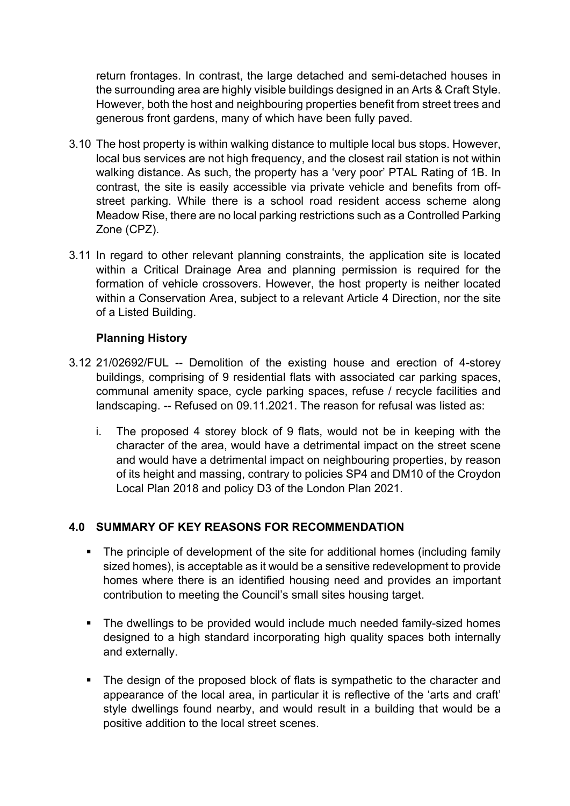return frontages. In contrast, the large detached and semi-detached houses in the surrounding area are highly visible buildings designed in an Arts & Craft Style. However, both the host and neighbouring properties benefit from street trees and generous front gardens, many of which have been fully paved.

- 3.10 The host property is within walking distance to multiple local bus stops. However, local bus services are not high frequency, and the closest rail station is not within walking distance. As such, the property has a 'very poor' PTAL Rating of 1B. In contrast, the site is easily accessible via private vehicle and benefits from offstreet parking. While there is a school road resident access scheme along Meadow Rise, there are no local parking restrictions such as a Controlled Parking Zone (CPZ).
- 3.11 In regard to other relevant planning constraints, the application site is located within a Critical Drainage Area and planning permission is required for the formation of vehicle crossovers. However, the host property is neither located within a Conservation Area, subject to a relevant Article 4 Direction, nor the site of a Listed Building.

## **Planning History**

- 3.12 21/02692/FUL -- Demolition of the existing house and erection of 4-storey buildings, comprising of 9 residential flats with associated car parking spaces, communal amenity space, cycle parking spaces, refuse / recycle facilities and landscaping. -- Refused on 09.11.2021. The reason for refusal was listed as:
	- i. The proposed 4 storey block of 9 flats, would not be in keeping with the character of the area, would have a detrimental impact on the street scene and would have a detrimental impact on neighbouring properties, by reason of its height and massing, contrary to policies SP4 and DM10 of the Croydon Local Plan 2018 and policy D3 of the London Plan 2021.

# **4.0 SUMMARY OF KEY REASONS FOR RECOMMENDATION**

- The principle of development of the site for additional homes (including family sized homes), is acceptable as it would be a sensitive redevelopment to provide homes where there is an identified housing need and provides an important contribution to meeting the Council's small sites housing target.
- The dwellings to be provided would include much needed family-sized homes designed to a high standard incorporating high quality spaces both internally and externally.
- The design of the proposed block of flats is sympathetic to the character and appearance of the local area, in particular it is reflective of the 'arts and craft' style dwellings found nearby, and would result in a building that would be a positive addition to the local street scenes.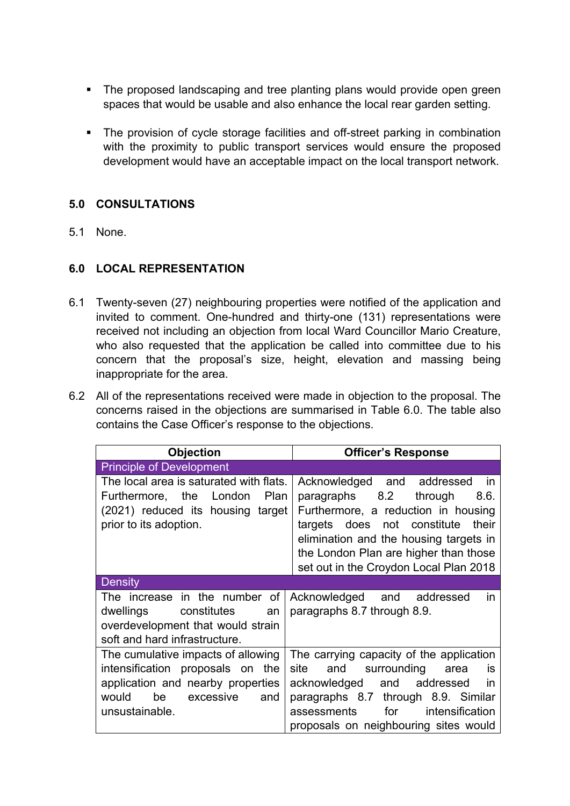- The proposed landscaping and tree planting plans would provide open green spaces that would be usable and also enhance the local rear garden setting.
- The provision of cycle storage facilities and off-street parking in combination with the proximity to public transport services would ensure the proposed development would have an acceptable impact on the local transport network.

### **5.0 CONSULTATIONS**

5.1 None.

# **6.0 LOCAL REPRESENTATION**

- 6.1 Twenty-seven (27) neighbouring properties were notified of the application and invited to comment. One-hundred and thirty-one (131) representations were received not including an objection from local Ward Councillor Mario Creature, who also requested that the application be called into committee due to his concern that the proposal's size, height, elevation and massing being inappropriate for the area.
- 6.2 All of the representations received were made in objection to the proposal. The concerns raised in the objections are summarised in Table 6.0. The table also contains the Case Officer's response to the objections.

| <b>Objection</b>                        | <b>Officer's Response</b>                |  |  |
|-----------------------------------------|------------------------------------------|--|--|
| <b>Principle of Development</b>         |                                          |  |  |
| The local area is saturated with flats. | Acknowledged and addressed<br>in in      |  |  |
| Furthermore, the London<br>Plan         | paragraphs 8.2<br>through<br>8.6.        |  |  |
| (2021) reduced its housing target       | Furthermore, a reduction in housing      |  |  |
| prior to its adoption.                  | targets does not constitute<br>their     |  |  |
|                                         | elimination and the housing targets in   |  |  |
|                                         | the London Plan are higher than those    |  |  |
|                                         | set out in the Croydon Local Plan 2018   |  |  |
| <b>Density</b>                          |                                          |  |  |
| The increase in the number of           | Acknowledged and addressed<br><i>in</i>  |  |  |
| dwellings<br>constitutes<br>an          | paragraphs 8.7 through 8.9.              |  |  |
| overdevelopment that would strain       |                                          |  |  |
| soft and hard infrastructure.           |                                          |  |  |
| The cumulative impacts of allowing      | The carrying capacity of the application |  |  |
| intensification proposals on the        | and surrounding<br>site<br>area<br>İS    |  |  |
| application and nearby properties       | acknowledged and addressed<br>in in      |  |  |
| be<br>would<br>excessive<br>and         | paragraphs 8.7 through 8.9. Similar      |  |  |
| unsustainable.                          | for<br>intensification<br>assessments    |  |  |
|                                         | proposals on neighbouring sites would    |  |  |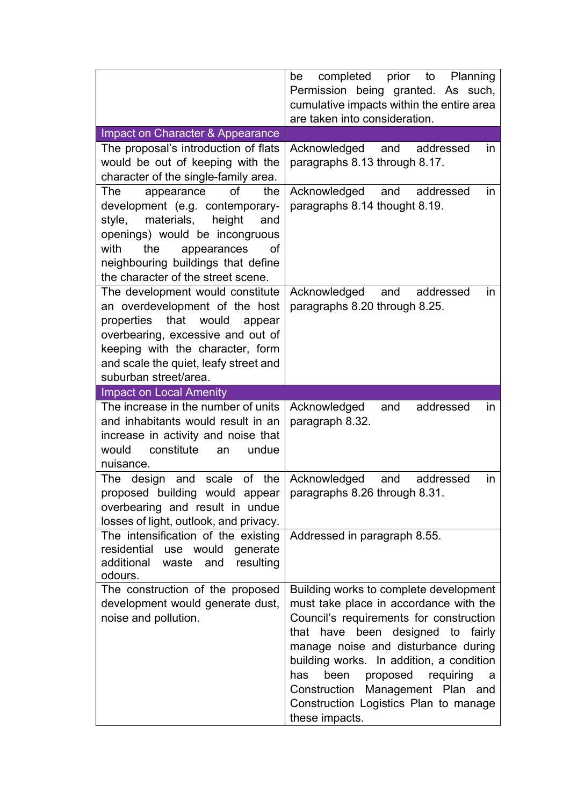|                                                                                                                                                        | completed prior to<br>Planning<br>be<br>Permission being granted. As such,<br>cumulative impacts within the entire area<br>are taken into consideration. |
|--------------------------------------------------------------------------------------------------------------------------------------------------------|----------------------------------------------------------------------------------------------------------------------------------------------------------|
| Impact on Character & Appearance                                                                                                                       |                                                                                                                                                          |
| The proposal's introduction of flats                                                                                                                   | Acknowledged<br>and<br>addressed<br><i>in</i>                                                                                                            |
| would be out of keeping with the                                                                                                                       | paragraphs 8.13 through 8.17.                                                                                                                            |
| character of the single-family area.                                                                                                                   |                                                                                                                                                          |
| of<br>appearance<br>the<br>The                                                                                                                         | Acknowledged and addressed<br><i>in</i>                                                                                                                  |
| development (e.g. contemporary-                                                                                                                        | paragraphs 8.14 thought 8.19.                                                                                                                            |
| style,<br>materials,<br>height<br>and                                                                                                                  |                                                                                                                                                          |
| openings) would be incongruous                                                                                                                         |                                                                                                                                                          |
| with<br>the<br>appearances<br>οf                                                                                                                       |                                                                                                                                                          |
| neighbouring buildings that define<br>the character of the street scene.                                                                               |                                                                                                                                                          |
|                                                                                                                                                        | addressed                                                                                                                                                |
| The development would constitute<br>an overdevelopment of the host                                                                                     | Acknowledged<br>and<br><i>in</i><br>paragraphs 8.20 through 8.25.                                                                                        |
| properties that<br>would<br>appear                                                                                                                     |                                                                                                                                                          |
| overbearing, excessive and out of                                                                                                                      |                                                                                                                                                          |
| keeping with the character, form                                                                                                                       |                                                                                                                                                          |
| and scale the quiet, leafy street and                                                                                                                  |                                                                                                                                                          |
| suburban street/area.                                                                                                                                  |                                                                                                                                                          |
| <b>Impact on Local Amenity</b>                                                                                                                         |                                                                                                                                                          |
| The increase in the number of units<br>and inhabitants would result in an<br>increase in activity and noise that<br>constitute<br>would<br>undue<br>an | Acknowledged<br>addressed<br>and<br><i>in</i><br>paragraph 8.32.                                                                                         |
| nuisance.<br>the<br>and<br>scale<br>of<br>The design                                                                                                   | and<br>addressed                                                                                                                                         |
| proposed building<br>would<br>appear<br>overbearing and result in undue                                                                                | Acknowledged<br>in<br>paragraphs 8.26 through 8.31.                                                                                                      |
| losses of light, outlook, and privacy.                                                                                                                 |                                                                                                                                                          |
| The intensification of the existing<br>residential use would generate<br>additional<br>waste<br>and<br>resulting<br>odours.                            | Addressed in paragraph 8.55.                                                                                                                             |
|                                                                                                                                                        |                                                                                                                                                          |
| The construction of the proposed                                                                                                                       | Building works to complete development                                                                                                                   |
| development would generate dust,                                                                                                                       | must take place in accordance with the                                                                                                                   |
| noise and pollution.                                                                                                                                   | Council's requirements for construction                                                                                                                  |
|                                                                                                                                                        | that have been designed to fairly                                                                                                                        |
|                                                                                                                                                        | manage noise and disturbance during                                                                                                                      |
|                                                                                                                                                        | building works. In addition, a condition                                                                                                                 |
|                                                                                                                                                        | been<br>proposed<br>requiring<br>has<br>a                                                                                                                |
|                                                                                                                                                        | Management Plan and<br>Construction                                                                                                                      |
|                                                                                                                                                        | Construction Logistics Plan to manage<br>these impacts.                                                                                                  |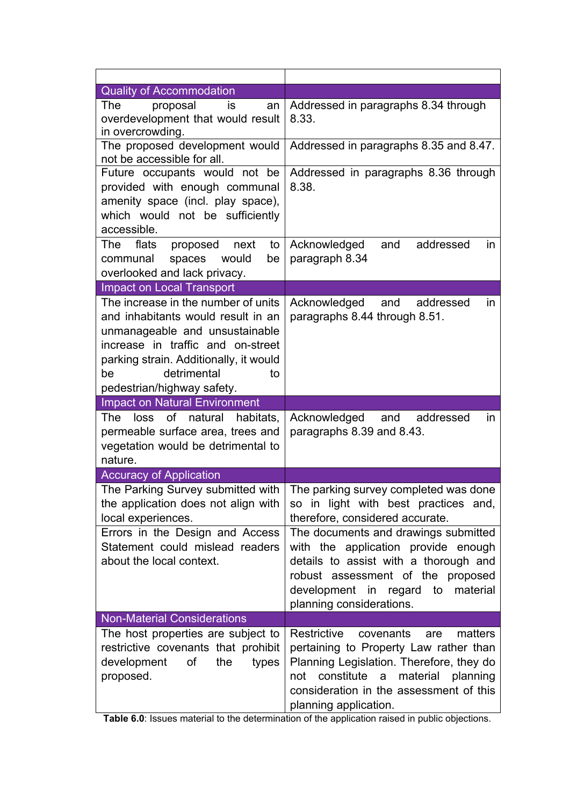| <b>Quality of Accommodation</b>                                                                                                                                                                                                                     |                                                                                                                                                                                                                                                                                                                                                   |  |  |
|-----------------------------------------------------------------------------------------------------------------------------------------------------------------------------------------------------------------------------------------------------|---------------------------------------------------------------------------------------------------------------------------------------------------------------------------------------------------------------------------------------------------------------------------------------------------------------------------------------------------|--|--|
| The<br>proposal<br>is<br>an<br>overdevelopment that would result<br>in overcrowding.                                                                                                                                                                | Addressed in paragraphs 8.34 through<br>8.33.                                                                                                                                                                                                                                                                                                     |  |  |
| The proposed development would<br>not be accessible for all.                                                                                                                                                                                        | Addressed in paragraphs 8.35 and 8.47.                                                                                                                                                                                                                                                                                                            |  |  |
| Future occupants would not be<br>provided with enough communal<br>amenity space (incl. play space),<br>which would not be sufficiently<br>accessible.                                                                                               | Addressed in paragraphs 8.36 through<br>8.38.                                                                                                                                                                                                                                                                                                     |  |  |
| The<br>flats<br>proposed<br>next<br>to<br>communal<br>spaces<br>would<br>be<br>overlooked and lack privacy.                                                                                                                                         | Acknowledged<br>addressed<br>and<br>in.<br>paragraph 8.34                                                                                                                                                                                                                                                                                         |  |  |
| <b>Impact on Local Transport</b>                                                                                                                                                                                                                    |                                                                                                                                                                                                                                                                                                                                                   |  |  |
| The increase in the number of units<br>and inhabitants would result in an<br>unmanageable and unsustainable<br>increase in traffic and on-street<br>parking strain. Additionally, it would<br>detrimental<br>be<br>to<br>pedestrian/highway safety. | Acknowledged<br>and<br>addressed<br>in.<br>paragraphs 8.44 through 8.51.                                                                                                                                                                                                                                                                          |  |  |
| <b>Impact on Natural Environment</b>                                                                                                                                                                                                                |                                                                                                                                                                                                                                                                                                                                                   |  |  |
| of<br>natural<br>The<br>loss<br>habitats,<br>permeable surface area, trees and<br>vegetation would be detrimental to<br>nature.                                                                                                                     | Acknowledged and<br>addressed<br>in.<br>paragraphs 8.39 and 8.43.                                                                                                                                                                                                                                                                                 |  |  |
| <b>Accuracy of Application</b>                                                                                                                                                                                                                      |                                                                                                                                                                                                                                                                                                                                                   |  |  |
| The Parking Survey submitted with<br>the application does not align with<br>local experiences.<br>Errors in the Design and Access<br>Statement could mislead readers<br>about the local context.                                                    | The parking survey completed was done<br>so in light with best practices and,<br>therefore, considered accurate.<br>The documents and drawings submitted<br>with the application provide enough<br>details to assist with a thorough and<br>robust assessment of the proposed<br>development in regard to<br>material<br>planning considerations. |  |  |
| <b>Non-Material Considerations</b>                                                                                                                                                                                                                  |                                                                                                                                                                                                                                                                                                                                                   |  |  |
| The host properties are subject to<br>restrictive covenants that prohibit<br>development of<br>the<br>types<br>proposed.                                                                                                                            | Restrictive<br>matters<br>covenants<br>are<br>pertaining to Property Law rather than<br>Planning Legislation. Therefore, they do<br>constitute<br>material<br>$\mathsf{a}$<br>planning<br>not<br>consideration in the assessment of this<br>planning application.                                                                                 |  |  |

**Table 6.0**: Issues material to the determination of the application raised in public objections.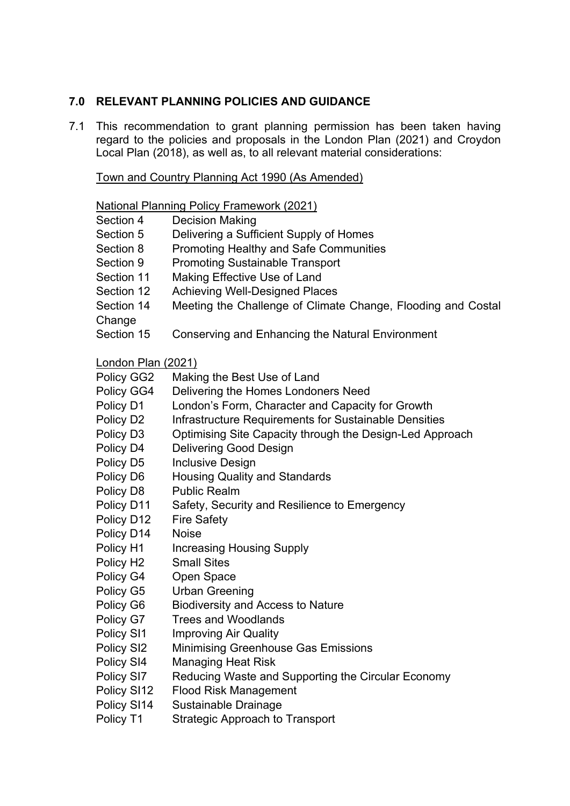### **7.0 RELEVANT PLANNING POLICIES AND GUIDANCE**

7.1 This recommendation to grant planning permission has been taken having regard to the policies and proposals in the London Plan (2021) and Croydon Local Plan (2018), as well as, to all relevant material considerations:

Town and Country Planning Act 1990 (As Amended)

|                            | <b>National Planning Policy Framework (2021)</b>             |
|----------------------------|--------------------------------------------------------------|
| Section 4                  | <b>Decision Making</b>                                       |
| Section 5                  | Delivering a Sufficient Supply of Homes                      |
| Section 8                  | <b>Promoting Healthy and Safe Communities</b>                |
| Section 9                  | <b>Promoting Sustainable Transport</b>                       |
| Section 11                 | Making Effective Use of Land                                 |
| Section 12                 | <b>Achieving Well-Designed Places</b>                        |
| Section 14                 | Meeting the Challenge of Climate Change, Flooding and Costal |
| Change                     |                                                              |
| Section 15                 | Conserving and Enhancing the Natural Environment             |
| <u> London Plan (2021)</u> |                                                              |
| Policy GG2                 | Making the Best Use of Land                                  |
| Policy GG4                 | Delivering the Homes Londoners Need                          |
| Policy D1                  | London's Form, Character and Capacity for Growth             |
| Policy D <sub>2</sub>      | Infrastructure Requirements for Sustainable Densities        |
| Policy D <sub>3</sub>      | Optimising Site Capacity through the Design-Led Approach     |
| Policy D4                  | <b>Delivering Good Design</b>                                |
| Policy D5                  | <b>Inclusive Design</b>                                      |
| Policy D6                  | <b>Housing Quality and Standards</b>                         |
| Policy D8                  | <b>Public Realm</b>                                          |
| Policy D11                 | Safety, Security and Resilience to Emergency                 |
| Policy D12                 | <b>Fire Safety</b>                                           |
| Policy D14                 | <b>Noise</b>                                                 |
| Policy H1                  | <b>Increasing Housing Supply</b>                             |
| Policy H <sub>2</sub>      | <b>Small Sites</b>                                           |
| Policy G4                  | Open Space                                                   |
| Policy G5                  | <b>Urban Greening</b>                                        |
| Policy G6                  | <b>Biodiversity and Access to Nature</b>                     |
| Policy G7                  | <b>Trees and Woodlands</b>                                   |
| Policy SI1                 | <b>Improving Air Quality</b>                                 |
| Policy SI2                 | <b>Minimising Greenhouse Gas Emissions</b>                   |
| Policy SI4                 | <b>Managing Heat Risk</b>                                    |
| Policy SI7                 | Reducing Waste and Supporting the Circular Economy           |
| Policy SI12                | <b>Flood Risk Management</b>                                 |
| Policy SI14                | Sustainable Drainage                                         |
| Policy T1                  | <b>Strategic Approach to Transport</b>                       |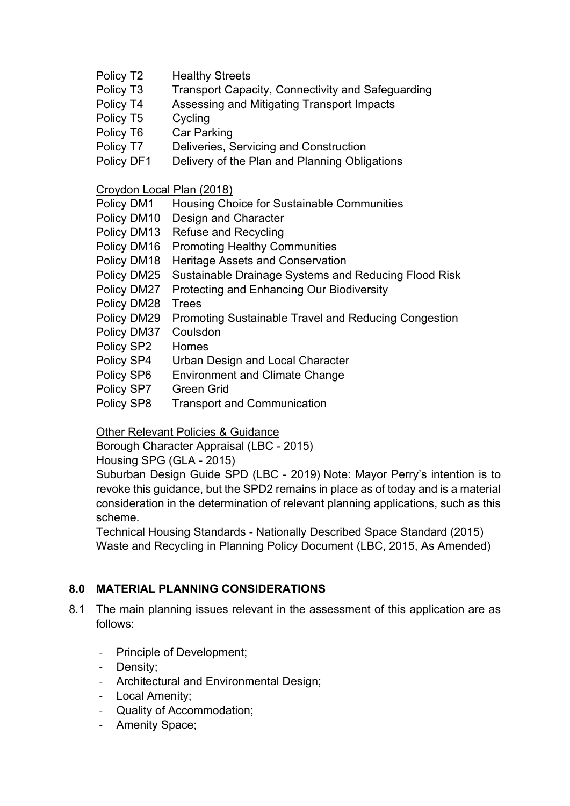- Policy T2 Healthy Streets
- Policy T3 Transport Capacity, Connectivity and Safeguarding
- Policy T4 Assessing and Mitigating Transport Impacts
- Policy T5 Cycling
- Policy T6 Car Parking
- Policy T7 Deliveries, Servicing and Construction
- Policy DF1 Delivery of the Plan and Planning Obligations

Croydon Local Plan (2018)

| Policy DM1 | Housing Choice for Sustainable Communities |
|------------|--------------------------------------------|
|            | <b>Policy DM10</b> Decian and Character    |

- Policy DM10 Design and Character
- Policy DM13 Refuse and Recycling
- Policy DM16 Promoting Healthy Communities
- Policy DM18 Heritage Assets and Conservation
- Policy DM25 Sustainable Drainage Systems and Reducing Flood Risk
- Policy DM27 Protecting and Enhancing Our Biodiversity
- Policy DM28 Trees
- Policy DM29 Promoting Sustainable Travel and Reducing Congestion
- Policy DM37 Coulsdon
- Policy SP2 Homes
- Policy SP4 Urban Design and Local Character
- Policy SP6 Environment and Climate Change
- Policy SP7 Green Grid
- Policy SP8 Transport and Communication

Other Relevant Policies & Guidance

Borough Character Appraisal (LBC - 2015)

Housing SPG (GLA - 2015)

Suburban Design Guide SPD (LBC - 2019) Note: Mayor Perry's intention is to revoke this guidance, but the SPD2 remains in place as of today and is a material consideration in the determination of relevant planning applications, such as this scheme.

Technical Housing Standards - Nationally Described Space Standard (2015) Waste and Recycling in Planning Policy Document (LBC, 2015, As Amended)

### **8.0 MATERIAL PLANNING CONSIDERATIONS**

- 8.1 The main planning issues relevant in the assessment of this application are as follows:
	- Principle of Development;
	- ‐ Density;
	- ‐ Architectural and Environmental Design;
	- ‐ Local Amenity;
	- ‐ Quality of Accommodation;
	- ‐ Amenity Space;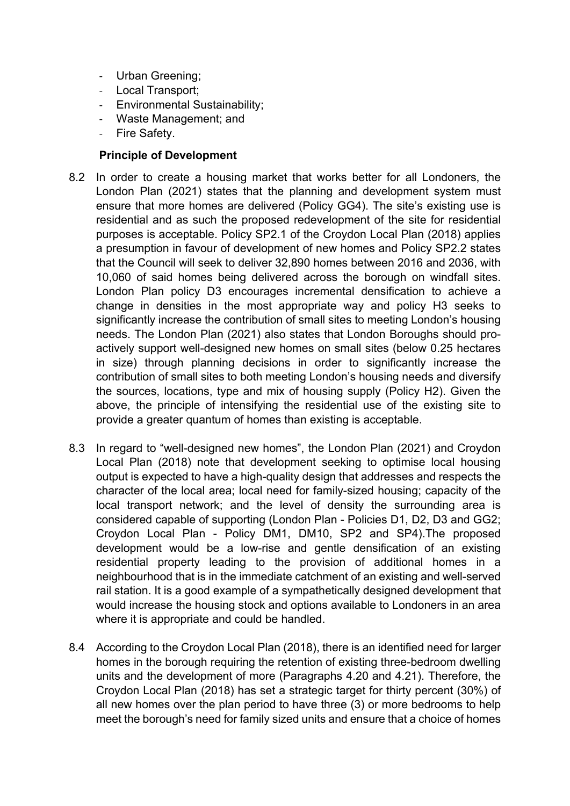- ‐ Urban Greening;
- ‐ Local Transport;
- ‐ Environmental Sustainability;
- ‐ Waste Management; and
- ‐ Fire Safety.

### **Principle of Development**

- 8.2 In order to create a housing market that works better for all Londoners, the London Plan (2021) states that the planning and development system must ensure that more homes are delivered (Policy GG4). The site's existing use is residential and as such the proposed redevelopment of the site for residential purposes is acceptable. Policy SP2.1 of the Croydon Local Plan (2018) applies a presumption in favour of development of new homes and Policy SP2.2 states that the Council will seek to deliver 32,890 homes between 2016 and 2036, with 10,060 of said homes being delivered across the borough on windfall sites. London Plan policy D3 encourages incremental densification to achieve a change in densities in the most appropriate way and policy H3 seeks to significantly increase the contribution of small sites to meeting London's housing needs. The London Plan (2021) also states that London Boroughs should proactively support well-designed new homes on small sites (below 0.25 hectares in size) through planning decisions in order to significantly increase the contribution of small sites to both meeting London's housing needs and diversify the sources, locations, type and mix of housing supply (Policy H2). Given the above, the principle of intensifying the residential use of the existing site to provide a greater quantum of homes than existing is acceptable.
- 8.3 In regard to "well-designed new homes", the London Plan (2021) and Croydon Local Plan (2018) note that development seeking to optimise local housing output is expected to have a high-quality design that addresses and respects the character of the local area; local need for family-sized housing; capacity of the local transport network; and the level of density the surrounding area is considered capable of supporting (London Plan - Policies D1, D2, D3 and GG2; Croydon Local Plan - Policy DM1, DM10, SP2 and SP4).The proposed development would be a low-rise and gentle densification of an existing residential property leading to the provision of additional homes in a neighbourhood that is in the immediate catchment of an existing and well-served rail station. It is a good example of a sympathetically designed development that would increase the housing stock and options available to Londoners in an area where it is appropriate and could be handled.
- 8.4 According to the Croydon Local Plan (2018), there is an identified need for larger homes in the borough requiring the retention of existing three-bedroom dwelling units and the development of more (Paragraphs 4.20 and 4.21). Therefore, the Croydon Local Plan (2018) has set a strategic target for thirty percent (30%) of all new homes over the plan period to have three (3) or more bedrooms to help meet the borough's need for family sized units and ensure that a choice of homes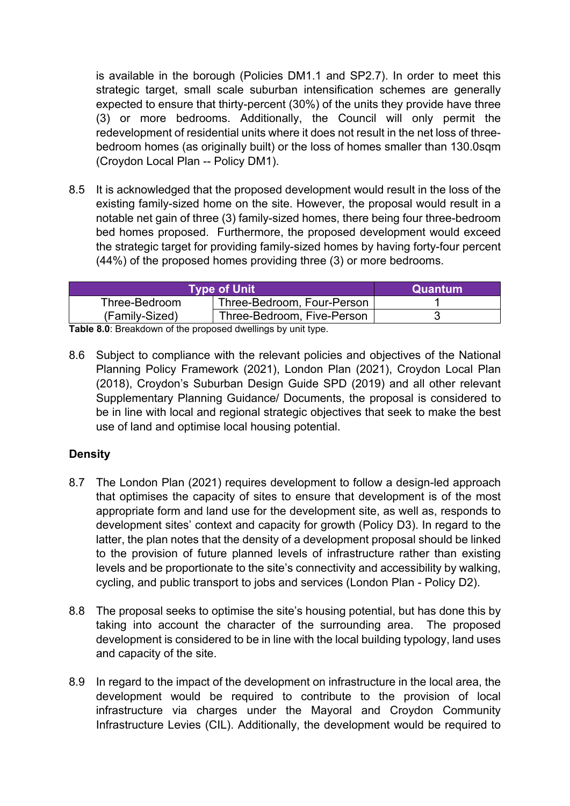is available in the borough (Policies DM1.1 and SP2.7). In order to meet this strategic target, small scale suburban intensification schemes are generally expected to ensure that thirty-percent (30%) of the units they provide have three (3) or more bedrooms. Additionally, the Council will only permit the redevelopment of residential units where it does not result in the net loss of threebedroom homes (as originally built) or the loss of homes smaller than 130.0sqm (Croydon Local Plan -- Policy DM1).

8.5 It is acknowledged that the proposed development would result in the loss of the existing family-sized home on the site. However, the proposal would result in a notable net gain of three (3) family-sized homes, there being four three-bedroom bed homes proposed. Furthermore, the proposed development would exceed the strategic target for providing family-sized homes by having forty-four percent (44%) of the proposed homes providing three (3) or more bedrooms.

| <b>Type of Unit</b> | Quantum                    |  |
|---------------------|----------------------------|--|
| Three-Bedroom       | Three-Bedroom, Four-Person |  |
| (Family-Sized)      | Three-Bedroom, Five-Person |  |

**Table 8.0**: Breakdown of the proposed dwellings by unit type.

8.6 Subject to compliance with the relevant policies and objectives of the National Planning Policy Framework (2021), London Plan (2021), Croydon Local Plan (2018), Croydon's Suburban Design Guide SPD (2019) and all other relevant Supplementary Planning Guidance/ Documents, the proposal is considered to be in line with local and regional strategic objectives that seek to make the best use of land and optimise local housing potential.

### **Density**

- 8.7 The London Plan (2021) requires development to follow a design-led approach that optimises the capacity of sites to ensure that development is of the most appropriate form and land use for the development site, as well as, responds to development sites' context and capacity for growth (Policy D3). In regard to the latter, the plan notes that the density of a development proposal should be linked to the provision of future planned levels of infrastructure rather than existing levels and be proportionate to the site's connectivity and accessibility by walking, cycling, and public transport to jobs and services (London Plan - Policy D2).
- 8.8 The proposal seeks to optimise the site's housing potential, but has done this by taking into account the character of the surrounding area. The proposed development is considered to be in line with the local building typology, land uses and capacity of the site.
- 8.9 In regard to the impact of the development on infrastructure in the local area, the development would be required to contribute to the provision of local infrastructure via charges under the Mayoral and Croydon Community Infrastructure Levies (CIL). Additionally, the development would be required to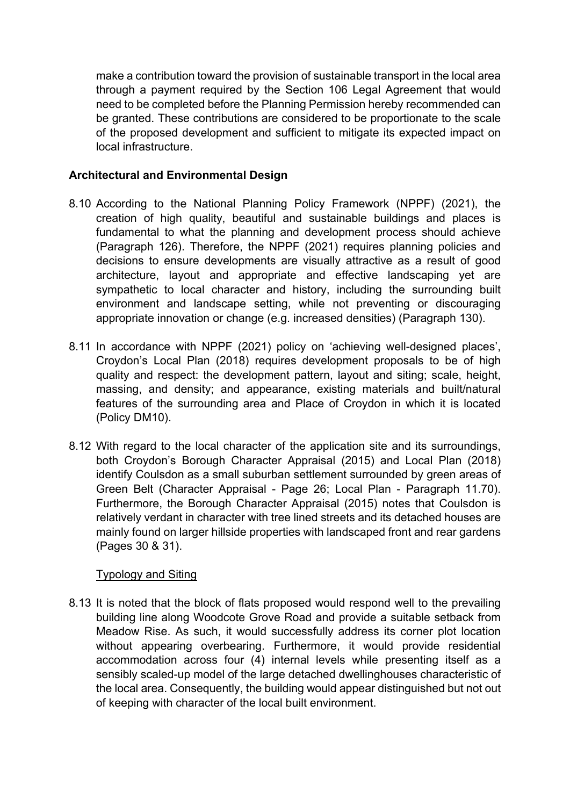make a contribution toward the provision of sustainable transport in the local area through a payment required by the Section 106 Legal Agreement that would need to be completed before the Planning Permission hereby recommended can be granted. These contributions are considered to be proportionate to the scale of the proposed development and sufficient to mitigate its expected impact on local infrastructure.

### **Architectural and Environmental Design**

- 8.10 According to the National Planning Policy Framework (NPPF) (2021), the creation of high quality, beautiful and sustainable buildings and places is fundamental to what the planning and development process should achieve (Paragraph 126). Therefore, the NPPF (2021) requires planning policies and decisions to ensure developments are visually attractive as a result of good architecture, layout and appropriate and effective landscaping yet are sympathetic to local character and history, including the surrounding built environment and landscape setting, while not preventing or discouraging appropriate innovation or change (e.g. increased densities) (Paragraph 130).
- 8.11 In accordance with NPPF (2021) policy on 'achieving well-designed places', Croydon's Local Plan (2018) requires development proposals to be of high quality and respect: the development pattern, layout and siting; scale, height, massing, and density; and appearance, existing materials and built/natural features of the surrounding area and Place of Croydon in which it is located (Policy DM10).
- 8.12 With regard to the local character of the application site and its surroundings, both Croydon's Borough Character Appraisal (2015) and Local Plan (2018) identify Coulsdon as a small suburban settlement surrounded by green areas of Green Belt (Character Appraisal - Page 26; Local Plan - Paragraph 11.70). Furthermore, the Borough Character Appraisal (2015) notes that Coulsdon is relatively verdant in character with tree lined streets and its detached houses are mainly found on larger hillside properties with landscaped front and rear gardens (Pages 30 & 31).

#### Typology and Siting

8.13 It is noted that the block of flats proposed would respond well to the prevailing building line along Woodcote Grove Road and provide a suitable setback from Meadow Rise. As such, it would successfully address its corner plot location without appearing overbearing. Furthermore, it would provide residential accommodation across four (4) internal levels while presenting itself as a sensibly scaled-up model of the large detached dwellinghouses characteristic of the local area. Consequently, the building would appear distinguished but not out of keeping with character of the local built environment.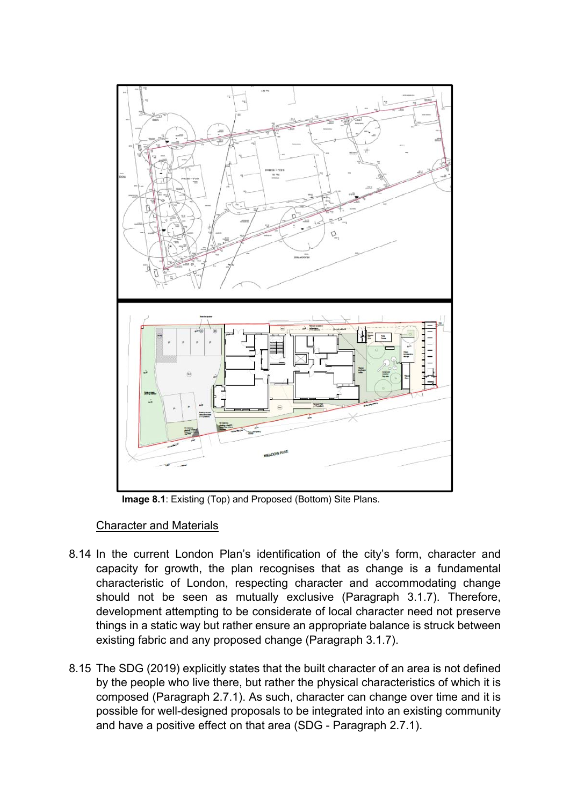

 **Image 8.1**: Existing (Top) and Proposed (Bottom) Site Plans.

#### Character and Materials

- 8.14 In the current London Plan's identification of the city's form, character and capacity for growth, the plan recognises that as change is a fundamental characteristic of London, respecting character and accommodating change should not be seen as mutually exclusive (Paragraph 3.1.7). Therefore, development attempting to be considerate of local character need not preserve things in a static way but rather ensure an appropriate balance is struck between existing fabric and any proposed change (Paragraph 3.1.7).
- 8.15 The SDG (2019) explicitly states that the built character of an area is not defined by the people who live there, but rather the physical characteristics of which it is composed (Paragraph 2.7.1). As such, character can change over time and it is possible for well-designed proposals to be integrated into an existing community and have a positive effect on that area (SDG - Paragraph 2.7.1).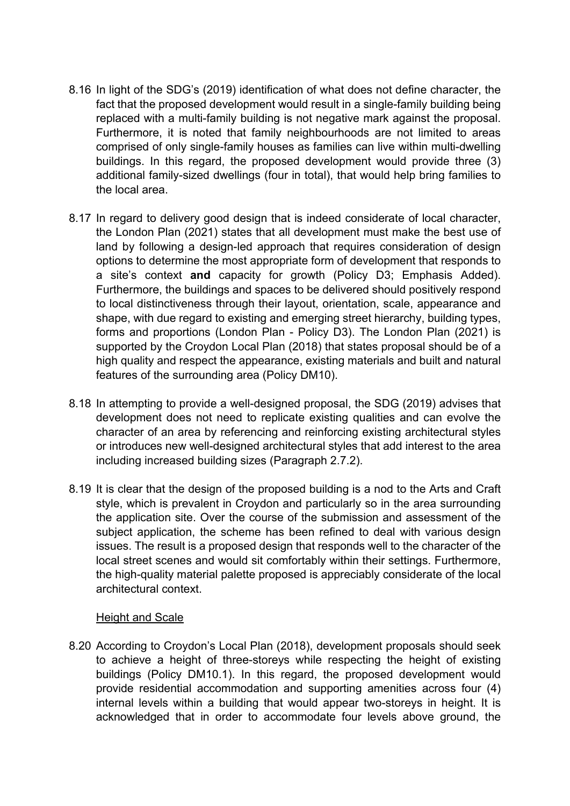- 8.16 In light of the SDG's (2019) identification of what does not define character, the fact that the proposed development would result in a single-family building being replaced with a multi-family building is not negative mark against the proposal. Furthermore, it is noted that family neighbourhoods are not limited to areas comprised of only single-family houses as families can live within multi-dwelling buildings. In this regard, the proposed development would provide three (3) additional family-sized dwellings (four in total), that would help bring families to the local area.
- 8.17 In regard to delivery good design that is indeed considerate of local character, the London Plan (2021) states that all development must make the best use of land by following a design-led approach that requires consideration of design options to determine the most appropriate form of development that responds to a site's context **and** capacity for growth (Policy D3; Emphasis Added). Furthermore, the buildings and spaces to be delivered should positively respond to local distinctiveness through their layout, orientation, scale, appearance and shape, with due regard to existing and emerging street hierarchy, building types, forms and proportions (London Plan - Policy D3). The London Plan (2021) is supported by the Croydon Local Plan (2018) that states proposal should be of a high quality and respect the appearance, existing materials and built and natural features of the surrounding area (Policy DM10).
- 8.18 In attempting to provide a well-designed proposal, the SDG (2019) advises that development does not need to replicate existing qualities and can evolve the character of an area by referencing and reinforcing existing architectural styles or introduces new well-designed architectural styles that add interest to the area including increased building sizes (Paragraph 2.7.2).
- 8.19 It is clear that the design of the proposed building is a nod to the Arts and Craft style, which is prevalent in Croydon and particularly so in the area surrounding the application site. Over the course of the submission and assessment of the subject application, the scheme has been refined to deal with various design issues. The result is a proposed design that responds well to the character of the local street scenes and would sit comfortably within their settings. Furthermore, the high-quality material palette proposed is appreciably considerate of the local architectural context.

#### Height and Scale

8.20 According to Croydon's Local Plan (2018), development proposals should seek to achieve a height of three-storeys while respecting the height of existing buildings (Policy DM10.1). In this regard, the proposed development would provide residential accommodation and supporting amenities across four (4) internal levels within a building that would appear two-storeys in height. It is acknowledged that in order to accommodate four levels above ground, the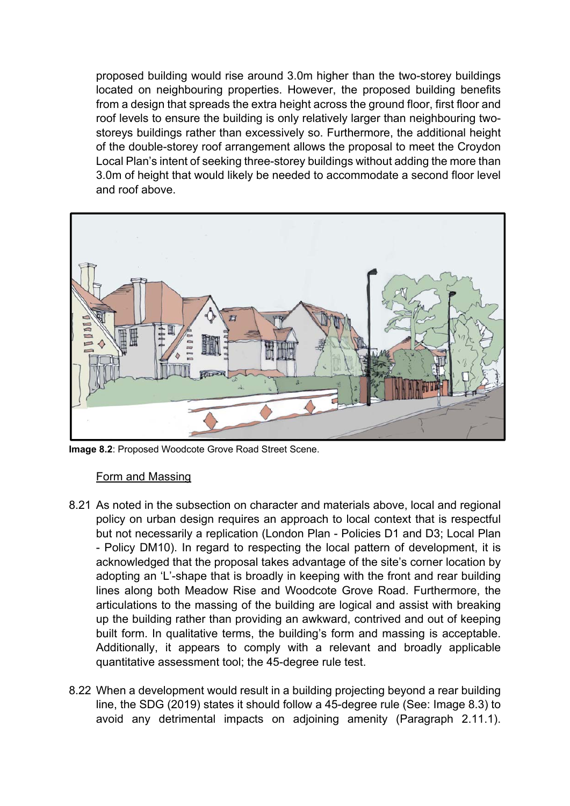proposed building would rise around 3.0m higher than the two-storey buildings located on neighbouring properties. However, the proposed building benefits from a design that spreads the extra height across the ground floor, first floor and roof levels to ensure the building is only relatively larger than neighbouring twostoreys buildings rather than excessively so. Furthermore, the additional height of the double-storey roof arrangement allows the proposal to meet the Croydon Local Plan's intent of seeking three-storey buildings without adding the more than 3.0m of height that would likely be needed to accommodate a second floor level and roof above.



**Image 8.2**: Proposed Woodcote Grove Road Street Scene.

#### Form and Massing

- 8.21 As noted in the subsection on character and materials above, local and regional policy on urban design requires an approach to local context that is respectful but not necessarily a replication (London Plan - Policies D1 and D3; Local Plan - Policy DM10). In regard to respecting the local pattern of development, it is acknowledged that the proposal takes advantage of the site's corner location by adopting an 'L'-shape that is broadly in keeping with the front and rear building lines along both Meadow Rise and Woodcote Grove Road. Furthermore, the articulations to the massing of the building are logical and assist with breaking up the building rather than providing an awkward, contrived and out of keeping built form. In qualitative terms, the building's form and massing is acceptable. Additionally, it appears to comply with a relevant and broadly applicable quantitative assessment tool; the 45-degree rule test.
- 8.22 When a development would result in a building projecting beyond a rear building line, the SDG (2019) states it should follow a 45-degree rule (See: Image 8.3) to avoid any detrimental impacts on adjoining amenity (Paragraph 2.11.1).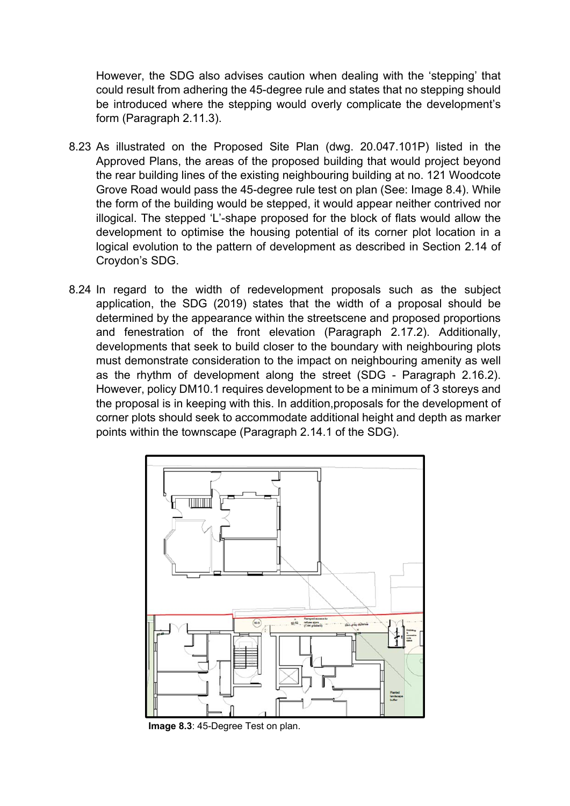However, the SDG also advises caution when dealing with the 'stepping' that could result from adhering the 45-degree rule and states that no stepping should be introduced where the stepping would overly complicate the development's form (Paragraph 2.11.3).

- 8.23 As illustrated on the Proposed Site Plan (dwg. 20.047.101P) listed in the Approved Plans, the areas of the proposed building that would project beyond the rear building lines of the existing neighbouring building at no. 121 Woodcote Grove Road would pass the 45-degree rule test on plan (See: Image 8.4). While the form of the building would be stepped, it would appear neither contrived nor illogical. The stepped 'L'-shape proposed for the block of flats would allow the development to optimise the housing potential of its corner plot location in a logical evolution to the pattern of development as described in Section 2.14 of Croydon's SDG.
- 8.24 In regard to the width of redevelopment proposals such as the subject application, the SDG (2019) states that the width of a proposal should be determined by the appearance within the streetscene and proposed proportions and fenestration of the front elevation (Paragraph 2.17.2). Additionally, developments that seek to build closer to the boundary with neighbouring plots must demonstrate consideration to the impact on neighbouring amenity as well as the rhythm of development along the street (SDG - Paragraph 2.16.2). However, policy DM10.1 requires development to be a minimum of 3 storeys and the proposal is in keeping with this. In addition,proposals for the development of corner plots should seek to accommodate additional height and depth as marker points within the townscape (Paragraph 2.14.1 of the SDG).



 **Image 8.3**: 45-Degree Test on plan.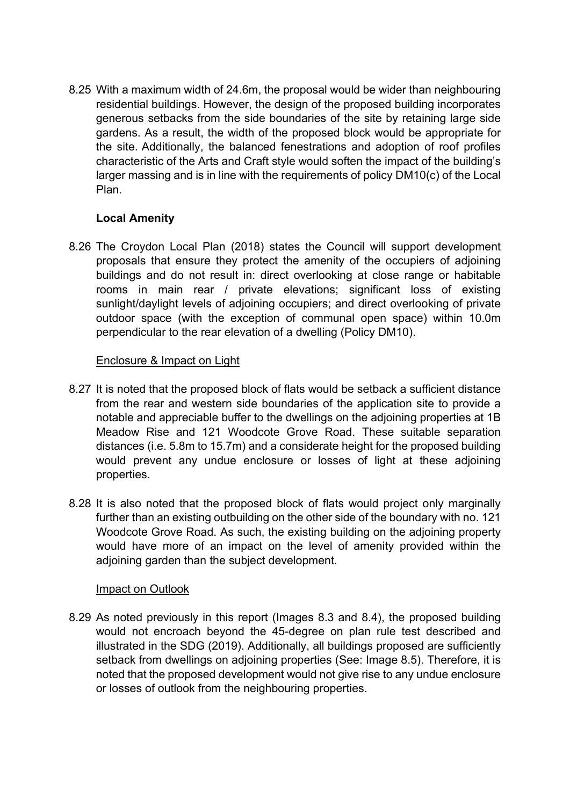8.25 With a maximum width of 24.6m, the proposal would be wider than neighbouring residential buildings. However, the design of the proposed building incorporates generous setbacks from the side boundaries of the site by retaining large side gardens. As a result, the width of the proposed block would be appropriate for the site. Additionally, the balanced fenestrations and adoption of roof profiles characteristic of the Arts and Craft style would soften the impact of the building's larger massing and is in line with the requirements of policy DM10(c) of the Local Plan.

### **Local Amenity**

8.26 The Croydon Local Plan (2018) states the Council will support development proposals that ensure they protect the amenity of the occupiers of adjoining buildings and do not result in: direct overlooking at close range or habitable rooms in main rear / private elevations; significant loss of existing sunlight/daylight levels of adjoining occupiers; and direct overlooking of private outdoor space (with the exception of communal open space) within 10.0m perpendicular to the rear elevation of a dwelling (Policy DM10).

#### Enclosure & Impact on Light

- 8.27 It is noted that the proposed block of flats would be setback a sufficient distance from the rear and western side boundaries of the application site to provide a notable and appreciable buffer to the dwellings on the adjoining properties at 1B Meadow Rise and 121 Woodcote Grove Road. These suitable separation distances (i.e. 5.8m to 15.7m) and a considerate height for the proposed building would prevent any undue enclosure or losses of light at these adjoining properties.
- 8.28 It is also noted that the proposed block of flats would project only marginally further than an existing outbuilding on the other side of the boundary with no. 121 Woodcote Grove Road. As such, the existing building on the adjoining property would have more of an impact on the level of amenity provided within the adjoining garden than the subject development.

#### Impact on Outlook

8.29 As noted previously in this report (Images 8.3 and 8.4), the proposed building would not encroach beyond the 45-degree on plan rule test described and illustrated in the SDG (2019). Additionally, all buildings proposed are sufficiently setback from dwellings on adjoining properties (See: Image 8.5). Therefore, it is noted that the proposed development would not give rise to any undue enclosure or losses of outlook from the neighbouring properties.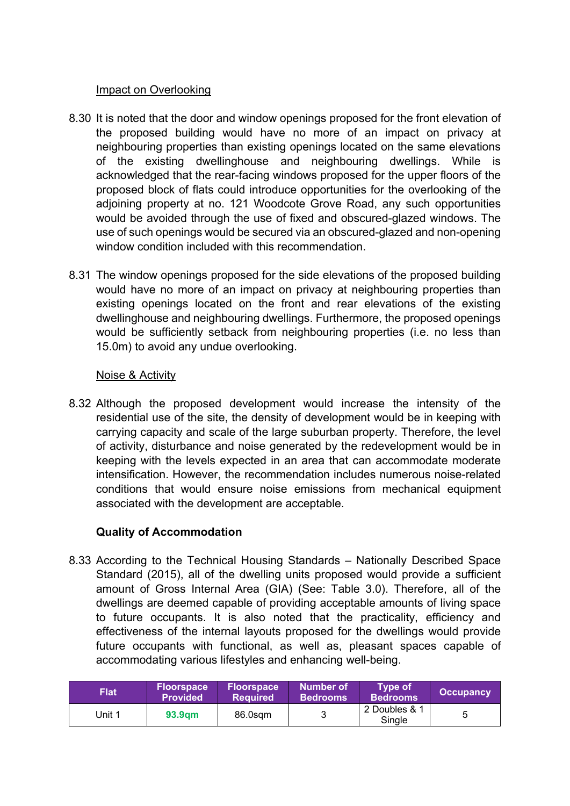#### Impact on Overlooking

- 8.30 It is noted that the door and window openings proposed for the front elevation of the proposed building would have no more of an impact on privacy at neighbouring properties than existing openings located on the same elevations of the existing dwellinghouse and neighbouring dwellings. While is acknowledged that the rear-facing windows proposed for the upper floors of the proposed block of flats could introduce opportunities for the overlooking of the adjoining property at no. 121 Woodcote Grove Road, any such opportunities would be avoided through the use of fixed and obscured-glazed windows. The use of such openings would be secured via an obscured-glazed and non-opening window condition included with this recommendation.
- 8.31 The window openings proposed for the side elevations of the proposed building would have no more of an impact on privacy at neighbouring properties than existing openings located on the front and rear elevations of the existing dwellinghouse and neighbouring dwellings. Furthermore, the proposed openings would be sufficiently setback from neighbouring properties (i.e. no less than 15.0m) to avoid any undue overlooking.

#### Noise & Activity

8.32 Although the proposed development would increase the intensity of the residential use of the site, the density of development would be in keeping with carrying capacity and scale of the large suburban property. Therefore, the level of activity, disturbance and noise generated by the redevelopment would be in keeping with the levels expected in an area that can accommodate moderate intensification. However, the recommendation includes numerous noise-related conditions that would ensure noise emissions from mechanical equipment associated with the development are acceptable.

### **Quality of Accommodation**

8.33 According to the Technical Housing Standards – Nationally Described Space Standard (2015), all of the dwelling units proposed would provide a sufficient amount of Gross Internal Area (GIA) (See: Table 3.0). Therefore, all of the dwellings are deemed capable of providing acceptable amounts of living space to future occupants. It is also noted that the practicality, efficiency and effectiveness of the internal layouts proposed for the dwellings would provide future occupants with functional, as well as, pleasant spaces capable of accommodating various lifestyles and enhancing well-being.

| <b>Flat</b> | <b>Floorspace</b><br><b>Provided</b> | <b>Floorspace</b><br><b>Required</b> | Number of<br><b>Bedrooms</b> | <b>Type of</b><br><b>Bedrooms</b> | <b>Occupancy</b> |
|-------------|--------------------------------------|--------------------------------------|------------------------------|-----------------------------------|------------------|
| Jnit 1      | 93.9am                               | 86.0sam                              |                              | 2 Doubles & 1<br>Single           |                  |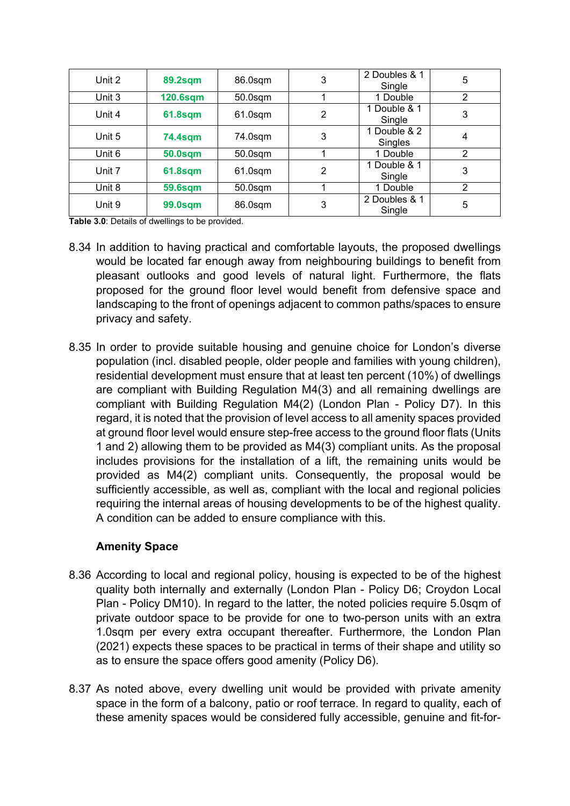| Unit 2 | <b>89.2sqm</b>  | 86.0sqm    | 3 | 2 Doubles & 1<br>Single | 5              |
|--------|-----------------|------------|---|-------------------------|----------------|
| Unit 3 | <b>120.6sqm</b> | $50.0$ sqm |   | 1 Double                | $\overline{2}$ |
| Unit 4 | <b>61.8sqm</b>  | $61.0$ sqm | 2 | 1 Double & 1<br>Single  | 3              |
| Unit 5 | 74.4sqm         | 74.0sqm    | 3 | 1 Double & 2<br>Singles | 4              |
| Unit 6 | <b>50.0sqm</b>  | $50.0$ sqm |   | 1 Double                | $\overline{2}$ |
| Unit 7 | <b>61.8sqm</b>  | $61.0$ sqm | 2 | 1 Double & 1<br>Single  | 3              |
| Unit 8 | <b>59.6sqm</b>  | $50.0$ sqm |   | 1 Double                | 2              |
| Unit 9 | <b>99.0sqm</b>  | 86.0sqm    | 3 | 2 Doubles & 1<br>Single | 5              |

**Table 3.0**: Details of dwellings to be provided.

- 8.34 In addition to having practical and comfortable layouts, the proposed dwellings would be located far enough away from neighbouring buildings to benefit from pleasant outlooks and good levels of natural light. Furthermore, the flats proposed for the ground floor level would benefit from defensive space and landscaping to the front of openings adjacent to common paths/spaces to ensure privacy and safety.
- 8.35 In order to provide suitable housing and genuine choice for London's diverse population (incl. disabled people, older people and families with young children), residential development must ensure that at least ten percent (10%) of dwellings are compliant with Building Regulation M4(3) and all remaining dwellings are compliant with Building Regulation M4(2) (London Plan - Policy D7). In this regard, it is noted that the provision of level access to all amenity spaces provided at ground floor level would ensure step-free access to the ground floor flats (Units 1 and 2) allowing them to be provided as M4(3) compliant units. As the proposal includes provisions for the installation of a lift, the remaining units would be provided as M4(2) compliant units. Consequently, the proposal would be sufficiently accessible, as well as, compliant with the local and regional policies requiring the internal areas of housing developments to be of the highest quality. A condition can be added to ensure compliance with this.

#### **Amenity Space**

- 8.36 According to local and regional policy, housing is expected to be of the highest quality both internally and externally (London Plan - Policy D6; Croydon Local Plan - Policy DM10). In regard to the latter, the noted policies require 5.0sqm of private outdoor space to be provide for one to two-person units with an extra 1.0sqm per every extra occupant thereafter. Furthermore, the London Plan (2021) expects these spaces to be practical in terms of their shape and utility so as to ensure the space offers good amenity (Policy D6).
- 8.37 As noted above, every dwelling unit would be provided with private amenity space in the form of a balcony, patio or roof terrace. In regard to quality, each of these amenity spaces would be considered fully accessible, genuine and fit-for-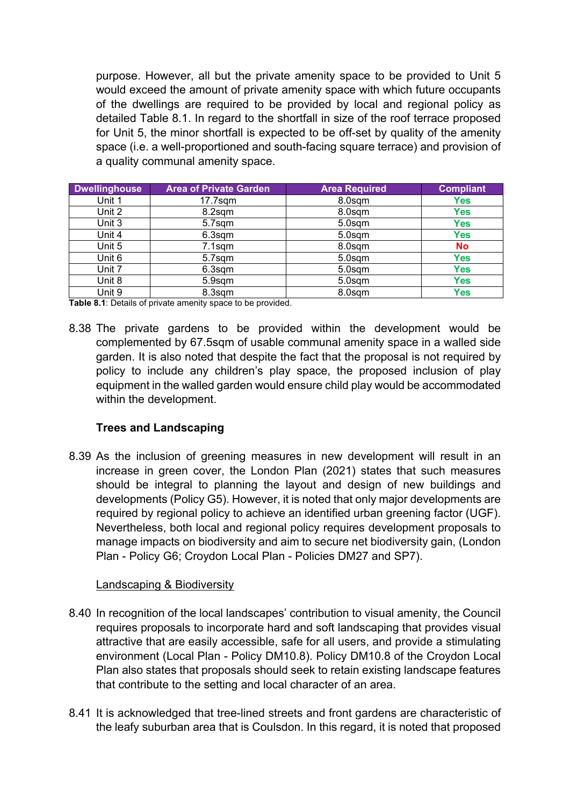purpose. However, all but the private amenity space to be provided to Unit 5 would exceed the amount of private amenity space with which future occupants of the dwellings are required to be provided by local and regional policy as detailed Table 8.1. In regard to the shortfall in size of the roof terrace proposed for Unit 5, the minor shortfall is expected to be off-set by quality of the amenity space (i.e. a well-proportioned and south-facing square terrace) and provision of a quality communal amenity space.

| <b>Dwellinghouse</b> | <b>Area of Private Garden</b> | <b>Area Required</b> | <b>Compliant</b> |
|----------------------|-------------------------------|----------------------|------------------|
| Unit 1               | $17.7$ sqm                    | 8.0sqm               | <b>Yes</b>       |
| Unit 2               | 8.2sqm                        | 8.0sqm               | <b>Yes</b>       |
| Unit 3               | 5.7sqm                        | 5.0sqm               | <b>Yes</b>       |
| Unit 4               | 6.3sqm                        | 5.0sqm               | Yes              |
| Unit 5               | $7.1$ sqm                     | 8.0sqm               | <b>No</b>        |
| Unit 6               | 5.7sqm                        | 5.0sqm               | Yes              |
| Unit 7               | $6.3$ sqm                     | 5.0sqm               | Yes              |
| Unit 8               | 5.9sqm                        | 5.0sqm               | Yes              |
| Unit 9               | 8.3sqm                        | 8.0sqm               | Yes              |

**Table 8.1**: Details of private amenity space to be provided.

8.38 The private gardens to be provided within the development would be complemented by 67.5sqm of usable communal amenity space in a walled side garden. It is also noted that despite the fact that the proposal is not required by policy to include any children's play space, the proposed inclusion of play equipment in the walled garden would ensure child play would be accommodated within the development.

### **Trees and Landscaping**

8.39 As the inclusion of greening measures in new development will result in an increase in green cover, the London Plan (2021) states that such measures should be integral to planning the layout and design of new buildings and developments (Policy G5). However, it is noted that only major developments are required by regional policy to achieve an identified urban greening factor (UGF). Nevertheless, both local and regional policy requires development proposals to manage impacts on biodiversity and aim to secure net biodiversity gain, (London Plan - Policy G6; Croydon Local Plan - Policies DM27 and SP7).

#### Landscaping & Biodiversity

- 8.40 In recognition of the local landscapes' contribution to visual amenity, the Council requires proposals to incorporate hard and soft landscaping that provides visual attractive that are easily accessible, safe for all users, and provide a stimulating environment (Local Plan - Policy DM10.8). Policy DM10.8 of the Croydon Local Plan also states that proposals should seek to retain existing landscape features that contribute to the setting and local character of an area.
- 8.41 It is acknowledged that tree-lined streets and front gardens are characteristic of the leafy suburban area that is Coulsdon. In this regard, it is noted that proposed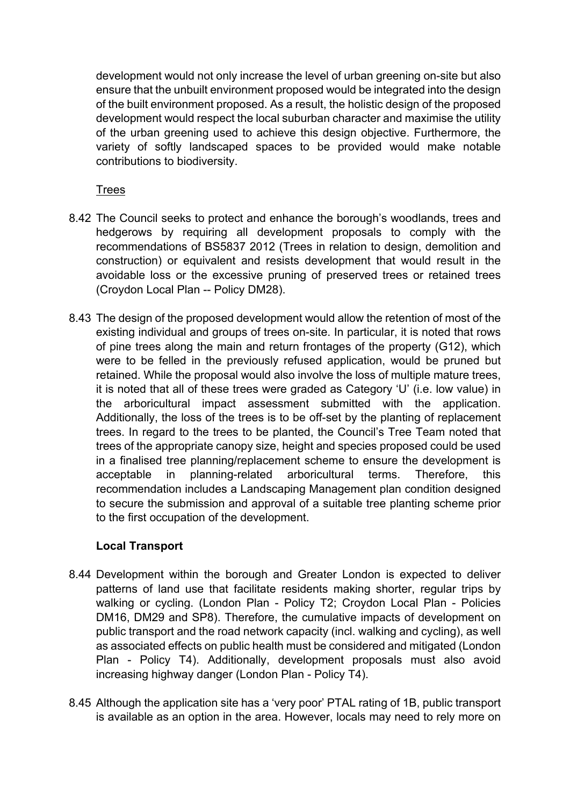development would not only increase the level of urban greening on-site but also ensure that the unbuilt environment proposed would be integrated into the design of the built environment proposed. As a result, the holistic design of the proposed development would respect the local suburban character and maximise the utility of the urban greening used to achieve this design objective. Furthermore, the variety of softly landscaped spaces to be provided would make notable contributions to biodiversity.

## Trees

- 8.42 The Council seeks to protect and enhance the borough's woodlands, trees and hedgerows by requiring all development proposals to comply with the recommendations of BS5837 2012 (Trees in relation to design, demolition and construction) or equivalent and resists development that would result in the avoidable loss or the excessive pruning of preserved trees or retained trees (Croydon Local Plan -- Policy DM28).
- 8.43 The design of the proposed development would allow the retention of most of the existing individual and groups of trees on-site. In particular, it is noted that rows of pine trees along the main and return frontages of the property (G12), which were to be felled in the previously refused application, would be pruned but retained. While the proposal would also involve the loss of multiple mature trees, it is noted that all of these trees were graded as Category 'U' (i.e. low value) in the arboricultural impact assessment submitted with the application. Additionally, the loss of the trees is to be off-set by the planting of replacement trees. In regard to the trees to be planted, the Council's Tree Team noted that trees of the appropriate canopy size, height and species proposed could be used in a finalised tree planning/replacement scheme to ensure the development is acceptable in planning-related arboricultural terms. Therefore, this recommendation includes a Landscaping Management plan condition designed to secure the submission and approval of a suitable tree planting scheme prior to the first occupation of the development.

### **Local Transport**

- 8.44 Development within the borough and Greater London is expected to deliver patterns of land use that facilitate residents making shorter, regular trips by walking or cycling. (London Plan - Policy T2; Croydon Local Plan - Policies DM16, DM29 and SP8). Therefore, the cumulative impacts of development on public transport and the road network capacity (incl. walking and cycling), as well as associated effects on public health must be considered and mitigated (London Plan - Policy T4). Additionally, development proposals must also avoid increasing highway danger (London Plan - Policy T4).
- 8.45 Although the application site has a 'very poor' PTAL rating of 1B, public transport is available as an option in the area. However, locals may need to rely more on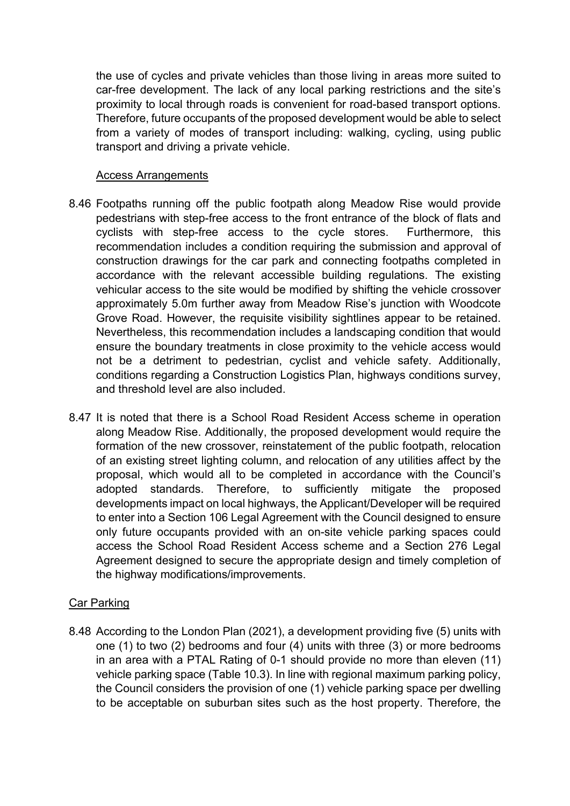the use of cycles and private vehicles than those living in areas more suited to car-free development. The lack of any local parking restrictions and the site's proximity to local through roads is convenient for road-based transport options. Therefore, future occupants of the proposed development would be able to select from a variety of modes of transport including: walking, cycling, using public transport and driving a private vehicle.

#### Access Arrangements

- 8.46 Footpaths running off the public footpath along Meadow Rise would provide pedestrians with step-free access to the front entrance of the block of flats and cyclists with step-free access to the cycle stores. Furthermore, this recommendation includes a condition requiring the submission and approval of construction drawings for the car park and connecting footpaths completed in accordance with the relevant accessible building regulations. The existing vehicular access to the site would be modified by shifting the vehicle crossover approximately 5.0m further away from Meadow Rise's junction with Woodcote Grove Road. However, the requisite visibility sightlines appear to be retained. Nevertheless, this recommendation includes a landscaping condition that would ensure the boundary treatments in close proximity to the vehicle access would not be a detriment to pedestrian, cyclist and vehicle safety. Additionally, conditions regarding a Construction Logistics Plan, highways conditions survey, and threshold level are also included.
- 8.47 It is noted that there is a School Road Resident Access scheme in operation along Meadow Rise. Additionally, the proposed development would require the formation of the new crossover, reinstatement of the public footpath, relocation of an existing street lighting column, and relocation of any utilities affect by the proposal, which would all to be completed in accordance with the Council's adopted standards. Therefore, to sufficiently mitigate the proposed developments impact on local highways, the Applicant/Developer will be required to enter into a Section 106 Legal Agreement with the Council designed to ensure only future occupants provided with an on-site vehicle parking spaces could access the School Road Resident Access scheme and a Section 276 Legal Agreement designed to secure the appropriate design and timely completion of the highway modifications/improvements.

#### Car Parking

8.48 According to the London Plan (2021), a development providing five (5) units with one (1) to two (2) bedrooms and four (4) units with three (3) or more bedrooms in an area with a PTAL Rating of 0-1 should provide no more than eleven (11) vehicle parking space (Table 10.3). In line with regional maximum parking policy, the Council considers the provision of one (1) vehicle parking space per dwelling to be acceptable on suburban sites such as the host property. Therefore, the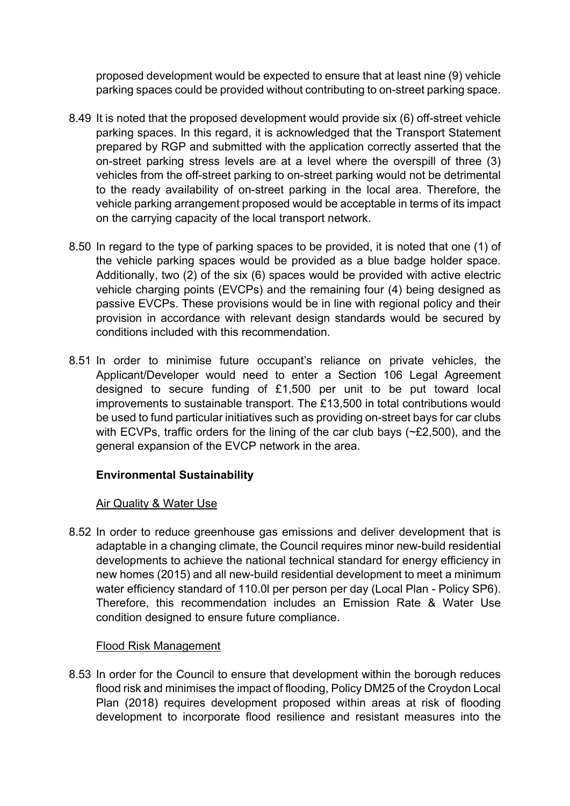proposed development would be expected to ensure that at least nine (9) vehicle parking spaces could be provided without contributing to on-street parking space.

- 8.49 It is noted that the proposed development would provide six (6) off-street vehicle parking spaces. In this regard, it is acknowledged that the Transport Statement prepared by RGP and submitted with the application correctly asserted that the on-street parking stress levels are at a level where the overspill of three (3) vehicles from the off-street parking to on-street parking would not be detrimental to the ready availability of on-street parking in the local area. Therefore, the vehicle parking arrangement proposed would be acceptable in terms of its impact on the carrying capacity of the local transport network.
- 8.50 In regard to the type of parking spaces to be provided, it is noted that one (1) of the vehicle parking spaces would be provided as a blue badge holder space. Additionally, two (2) of the six (6) spaces would be provided with active electric vehicle charging points (EVCPs) and the remaining four (4) being designed as passive EVCPs. These provisions would be in line with regional policy and their provision in accordance with relevant design standards would be secured by conditions included with this recommendation.
- 8.51 In order to minimise future occupant's reliance on private vehicles, the Applicant/Developer would need to enter a Section 106 Legal Agreement designed to secure funding of £1,500 per unit to be put toward local improvements to sustainable transport. The £13,500 in total contributions would be used to fund particular initiatives such as providing on-street bays for car clubs with ECVPs, traffic orders for the lining of the car club bays (~£2,500), and the general expansion of the EVCP network in the area.

# **Environmental Sustainability**

### Air Quality & Water Use

8.52 In order to reduce greenhouse gas emissions and deliver development that is adaptable in a changing climate, the Council requires minor new-build residential developments to achieve the national technical standard for energy efficiency in new homes (2015) and all new-build residential development to meet a minimum water efficiency standard of 110.0l per person per day (Local Plan - Policy SP6). Therefore, this recommendation includes an Emission Rate & Water Use condition designed to ensure future compliance.

### Flood Risk Management

8.53 In order for the Council to ensure that development within the borough reduces flood risk and minimises the impact of flooding, Policy DM25 of the Croydon Local Plan (2018) requires development proposed within areas at risk of flooding development to incorporate flood resilience and resistant measures into the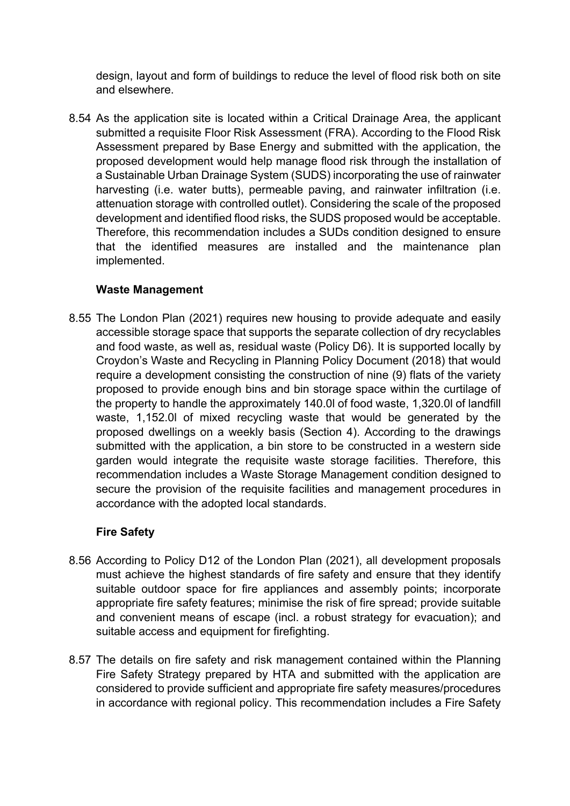design, layout and form of buildings to reduce the level of flood risk both on site and elsewhere.

8.54 As the application site is located within a Critical Drainage Area, the applicant submitted a requisite Floor Risk Assessment (FRA). According to the Flood Risk Assessment prepared by Base Energy and submitted with the application, the proposed development would help manage flood risk through the installation of a Sustainable Urban Drainage System (SUDS) incorporating the use of rainwater harvesting (i.e. water butts), permeable paving, and rainwater infiltration (i.e. attenuation storage with controlled outlet). Considering the scale of the proposed development and identified flood risks, the SUDS proposed would be acceptable. Therefore, this recommendation includes a SUDs condition designed to ensure that the identified measures are installed and the maintenance plan implemented.

## **Waste Management**

8.55 The London Plan (2021) requires new housing to provide adequate and easily accessible storage space that supports the separate collection of dry recyclables and food waste, as well as, residual waste (Policy D6). It is supported locally by Croydon's Waste and Recycling in Planning Policy Document (2018) that would require a development consisting the construction of nine (9) flats of the variety proposed to provide enough bins and bin storage space within the curtilage of the property to handle the approximately 140.0l of food waste, 1,320.0l of landfill waste, 1,152.0l of mixed recycling waste that would be generated by the proposed dwellings on a weekly basis (Section 4). According to the drawings submitted with the application, a bin store to be constructed in a western side garden would integrate the requisite waste storage facilities. Therefore, this recommendation includes a Waste Storage Management condition designed to secure the provision of the requisite facilities and management procedures in accordance with the adopted local standards.

# **Fire Safety**

- 8.56 According to Policy D12 of the London Plan (2021), all development proposals must achieve the highest standards of fire safety and ensure that they identify suitable outdoor space for fire appliances and assembly points; incorporate appropriate fire safety features; minimise the risk of fire spread; provide suitable and convenient means of escape (incl. a robust strategy for evacuation); and suitable access and equipment for firefighting.
- 8.57 The details on fire safety and risk management contained within the Planning Fire Safety Strategy prepared by HTA and submitted with the application are considered to provide sufficient and appropriate fire safety measures/procedures in accordance with regional policy. This recommendation includes a Fire Safety